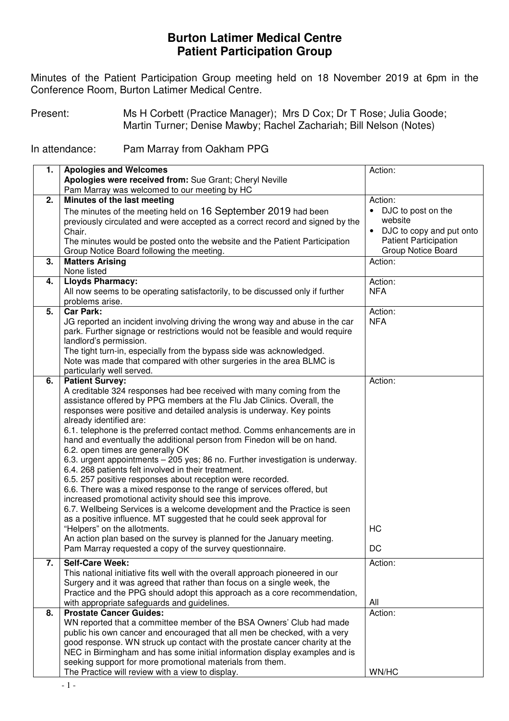## **Burton Latimer Medical Centre Patient Participation Group**

 Minutes of the Patient Participation Group meeting held on 18 November 2019 at 6pm in the Conference Room, Burton Latimer Medical Centre.

Present: Ms H Corbett (Practice Manager); Mrs D Cox; Dr T Rose; Julia Goode; Martin Turner; Denise Mawby; Rachel Zachariah; Bill Nelson (Notes)

In attendance: Pam Marray from Oakham PPG

| 1. | <b>Apologies and Welcomes</b>                                                                                                                       | Action:                               |
|----|-----------------------------------------------------------------------------------------------------------------------------------------------------|---------------------------------------|
|    | Apologies were received from: Sue Grant; Cheryl Neville                                                                                             |                                       |
|    | Pam Marray was welcomed to our meeting by HC                                                                                                        |                                       |
| 2. | Minutes of the last meeting                                                                                                                         | Action:                               |
|    | The minutes of the meeting held on 16 September 2019 had been                                                                                       | DJC to post on the<br>$\bullet$       |
|    | previously circulated and were accepted as a correct record and signed by the                                                                       | website                               |
|    | Chair.                                                                                                                                              | DJC to copy and put onto<br>$\bullet$ |
|    | The minutes would be posted onto the website and the Patient Participation                                                                          | <b>Patient Participation</b>          |
|    | Group Notice Board following the meeting.                                                                                                           | <b>Group Notice Board</b>             |
| 3. | <b>Matters Arising</b>                                                                                                                              | Action:                               |
|    | None listed                                                                                                                                         |                                       |
| 4. | <b>Lloyds Pharmacy:</b>                                                                                                                             | Action:                               |
|    | All now seems to be operating satisfactorily, to be discussed only if further                                                                       | <b>NFA</b>                            |
|    | problems arise.                                                                                                                                     |                                       |
| 5. | <b>Car Park:</b>                                                                                                                                    | Action:                               |
|    | JG reported an incident involving driving the wrong way and abuse in the car                                                                        | <b>NFA</b>                            |
|    | park. Further signage or restrictions would not be feasible and would require<br>landlord's permission.                                             |                                       |
|    | The tight turn-in, especially from the bypass side was acknowledged.                                                                                |                                       |
|    | Note was made that compared with other surgeries in the area BLMC is                                                                                |                                       |
|    | particularly well served.                                                                                                                           |                                       |
| 6. | <b>Patient Survey:</b>                                                                                                                              | Action:                               |
|    | A creditable 324 responses had bee received with many coming from the                                                                               |                                       |
|    | assistance offered by PPG members at the Flu Jab Clinics. Overall, the                                                                              |                                       |
|    | responses were positive and detailed analysis is underway. Key points                                                                               |                                       |
|    | already identified are:                                                                                                                             |                                       |
|    | 6.1. telephone is the preferred contact method. Comms enhancements are in                                                                           |                                       |
|    | hand and eventually the additional person from Finedon will be on hand.                                                                             |                                       |
|    | 6.2. open times are generally OK                                                                                                                    |                                       |
|    | 6.3. urgent appointments - 205 yes; 86 no. Further investigation is underway.                                                                       |                                       |
|    | 6.4. 268 patients felt involved in their treatment.                                                                                                 |                                       |
|    | 6.5. 257 positive responses about reception were recorded.                                                                                          |                                       |
|    | 6.6. There was a mixed response to the range of services offered, but                                                                               |                                       |
|    | increased promotional activity should see this improve.                                                                                             |                                       |
|    | 6.7. Wellbeing Services is a welcome development and the Practice is seen<br>as a positive influence. MT suggested that he could seek approval for  |                                       |
|    | "Helpers" on the allotments.                                                                                                                        | HC                                    |
|    | An action plan based on the survey is planned for the January meeting.                                                                              |                                       |
|    | Pam Marray requested a copy of the survey questionnaire.                                                                                            | DC                                    |
|    |                                                                                                                                                     |                                       |
| 7. | <b>Self-Care Week:</b>                                                                                                                              | Action:                               |
|    | This national initiative fits well with the overall approach pioneered in our                                                                       |                                       |
|    | Surgery and it was agreed that rather than focus on a single week, the<br>Practice and the PPG should adopt this approach as a core recommendation, |                                       |
|    |                                                                                                                                                     | All                                   |
| 8. | with appropriate safeguards and guidelines.<br><b>Prostate Cancer Guides:</b>                                                                       | Action:                               |
|    | WN reported that a committee member of the BSA Owners' Club had made                                                                                |                                       |
|    | public his own cancer and encouraged that all men be checked, with a very                                                                           |                                       |
|    | good response. WN struck up contact with the prostate cancer charity at the                                                                         |                                       |
|    | NEC in Birmingham and has some initial information display examples and is                                                                          |                                       |
|    | seeking support for more promotional materials from them.                                                                                           |                                       |
|    | The Practice will review with a view to display.                                                                                                    | WN/HC                                 |